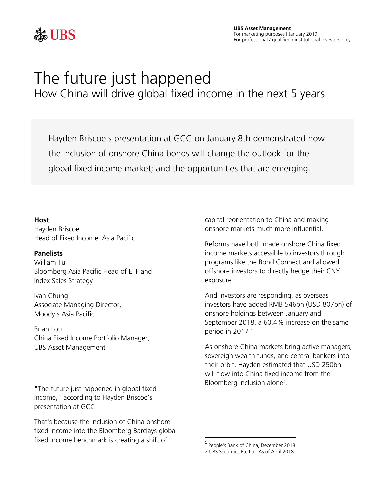

## The future just happened How China will drive global fixed income in the next 5 years

Hayden Briscoe's presentation at GCC on January 8th demonstrated how the inclusion of onshore China bonds will change the outlook for the global fixed income market; and the opportunities that are emerging.

### **Host**

Hayden Briscoe Head of Fixed Income, Asia Pacific

### **Panelists**

William Tu Bloomberg Asia Pacific Head of ETF and Index Sales Strategy

Ivan Chung Associate Managing Director, Moody's Asia Pacific

Brian Lou China Fixed Income Portfolio Manager, UBS Asset Management

"The future just happened in global fixed income," according to Hayden Briscoe's presentation at GCC.

<span id="page-0-1"></span><span id="page-0-0"></span>That's because the inclusion of China onshore fixed income into the Bloomberg Barclays global fixed income benchmark is creating a shift of

capital reorientation to China and making onshore markets much more influential.

Reforms have both made onshore China fixed income markets accessible to investors through programs like the Bond Connect and allowed offshore investors to directly hedge their CNY exposure.

And investors are responding, as overseas investors have added RMB 546bn (USD 807bn) of onshore holdings between January and September 2018, a 60.4% increase on the same period in 2017 [1](#page-0-0).

As onshore China markets bring active managers, sovereign wealth funds, and central bankers into their orbit, Hayden estimated that USD 250bn will flow into China fixed income from the Bloomberg inclusion alone[2](#page-0-1).

 <sup>1</sup> People's Bank of China, December 2018

<sup>2</sup> UBS Securities Pte Ltd. As of April 2018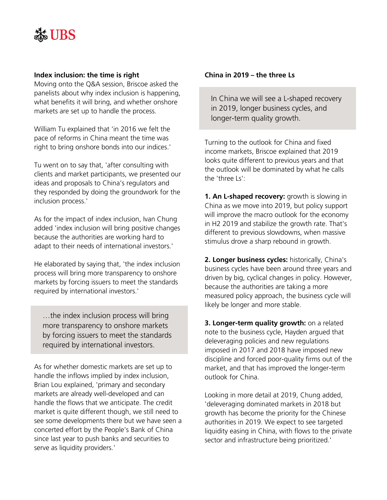## **Solution**

### **Index inclusion: the time is right**

Moving onto the Q&A session, Briscoe asked the panelists about why index inclusion is happening, what benefits it will bring, and whether onshore markets are set up to handle the process.

William Tu explained that 'in 2016 we felt the pace of reforms in China meant the time was right to bring onshore bonds into our indices.'

Tu went on to say that, 'after consulting with clients and market participants, we presented our ideas and proposals to China's regulators and they responded by doing the groundwork for the inclusion process.'

As for the impact of index inclusion, Ivan Chung added 'index inclusion will bring positive changes because the authorities are working hard to adapt to their needs of international investors.'

He elaborated by saying that, 'the index inclusion process will bring more transparency to onshore markets by forcing issuers to meet the standards required by international investors.'

…the index inclusion process will bring more transparency to onshore markets by forcing issuers to meet the standards required by international investors.

As for whether domestic markets are set up to handle the inflows implied by index inclusion, Brian Lou explained, 'primary and secondary markets are already well-developed and can handle the flows that we anticipate. The credit market is quite different though, we still need to see some developments there but we have seen a concerted effort by the People's Bank of China since last year to push banks and securities to serve as liquidity providers.'

## **China in 2019 – the three Ls**

In China we will see a L-shaped recovery in 2019, longer business cycles, and longer-term quality growth.

Turning to the outlook for China and fixed income markets, Briscoe explained that 2019 looks quite different to previous years and that the outlook will be dominated by what he calls the 'three Ls':

**1. An L-shaped recovery:** growth is slowing in China as we move into 2019, but policy support will improve the macro outlook for the economy in H2 2019 and stabilize the growth rate. That's different to previous slowdowns, when massive stimulus drove a sharp rebound in growth.

**2. Longer business cycles:** historically, China's business cycles have been around three years and driven by big, cyclical changes in policy. However, because the authorities are taking a more measured policy approach, the business cycle will likely be longer and more stable.

**3. Longer-term quality growth:** on a related note to the business cycle, Hayden argued that deleveraging policies and new regulations imposed in 2017 and 2018 have imposed new discipline and forced poor-quality firms out of the market, and that has improved the longer-term outlook for China.

Looking in more detail at 2019, Chung added, 'deleveraging dominated markets in 2018 but growth has become the priority for the Chinese authorities in 2019. We expect to see targeted liquidity easing in China, with flows to the private sector and infrastructure being prioritized.'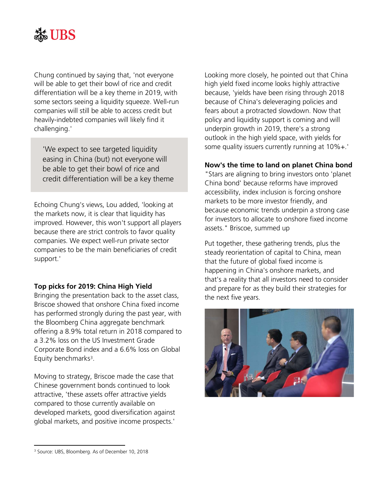# **Solution**

Chung continued by saying that, 'not everyone will be able to get their bowl of rice and credit differentiation will be a key theme in 2019, with some sectors seeing a liquidity squeeze. Well-run companies will still be able to access credit but heavily-indebted companies will likely find it challenging.'

'We expect to see targeted liquidity easing in China (but) not everyone will be able to get their bowl of rice and credit differentiation will be a key theme

Echoing Chung's views, Lou added, 'looking at the markets now, it is clear that liquidity has improved. However, this won't support all players because there are strict controls to favor quality companies. We expect well-run private sector companies to be the main beneficiaries of credit support.'

## **Top picks for 2019: China High Yield**

Bringing the presentation back to the asset class, Briscoe showed that onshore China fixed income has performed strongly during the past year, with the Bloomberg China aggregate benchmark offering a 8.9% total return in 2018 compared to a 3.2% loss on the US Investment Grade Corporate Bond index and a 6.6% loss on Global Equity benchmarks<sup>3</sup>.

Moving to strategy, Briscoe made the case that Chinese government bonds continued to look attractive, 'these assets offer attractive yields compared to those currently available on developed markets, good diversification against global markets, and positive income prospects.'

Looking more closely, he pointed out that China high yield fixed income looks highly attractive because, 'yields have been rising through 2018 because of China's deleveraging policies and fears about a protracted slowdown. Now that policy and liquidity support is coming and will underpin growth in 2019, there's a strong outlook in the high yield space, with yields for some quality issuers currently running at 10%+.'

## **Now's the time to land on planet China bond**

"Stars are aligning to bring investors onto 'planet China bond' because reforms have improved accessibility, index inclusion is forcing onshore markets to be more investor friendly, and because economic trends underpin a strong case for investors to allocate to onshore fixed income assets." Briscoe, summed up

Put together, these gathering trends, plus the steady reorientation of capital to China, mean that the future of global fixed income is happening in China's onshore markets, and that's a reality that all investors need to consider and prepare for as they build their strategies for the next five years.



<span id="page-2-0"></span> $\overline{\phantom{a}}$ <sup>3</sup> Source: UBS, Bloomberg. As of December 10, 2018